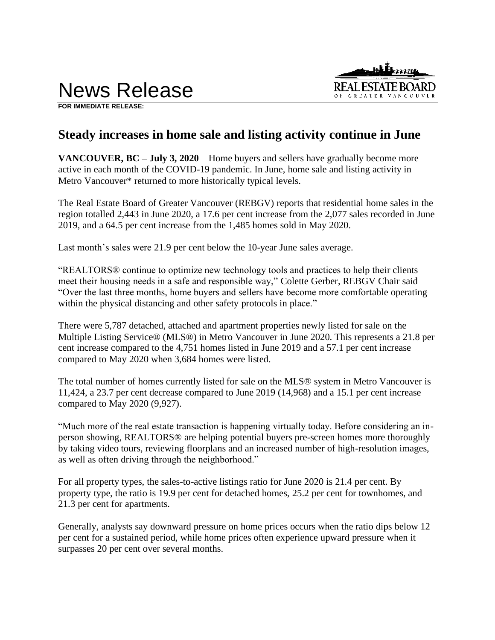News Release



**FOR IMMEDIATE RELEASE:** 

# **Steady increases in home sale and listing activity continue in June**

**VANCOUVER, BC – July 3, 2020** – Home buyers and sellers have gradually become more active in each month of the COVID-19 pandemic. In June, home sale and listing activity in Metro Vancouver\* returned to more historically typical levels.

The Real Estate Board of Greater Vancouver (REBGV) reports that residential home sales in the region totalled 2,443 in June 2020, a 17.6 per cent increase from the 2,077 sales recorded in June 2019, and a 64.5 per cent increase from the 1,485 homes sold in May 2020.

Last month's sales were 21.9 per cent below the 10-year June sales average.

"REALTORS® continue to optimize new technology tools and practices to help their clients meet their housing needs in a safe and responsible way," Colette Gerber, REBGV Chair said "Over the last three months, home buyers and sellers have become more comfortable operating within the physical distancing and other safety protocols in place."

There were 5,787 detached, attached and apartment properties newly listed for sale on the Multiple Listing Service® (MLS®) in Metro Vancouver in June 2020. This represents a 21.8 per cent increase compared to the 4,751 homes listed in June 2019 and a 57.1 per cent increase compared to May 2020 when 3,684 homes were listed.

The total number of homes currently listed for sale on the MLS® system in Metro Vancouver is 11,424, a 23.7 per cent decrease compared to June 2019 (14,968) and a 15.1 per cent increase compared to May 2020 (9,927).

"Much more of the real estate transaction is happening virtually today. Before considering an inperson showing, REALTORS® are helping potential buyers pre-screen homes more thoroughly by taking video tours, reviewing floorplans and an increased number of high-resolution images, as well as often driving through the neighborhood."

For all property types, the sales-to-active listings ratio for June 2020 is 21.4 per cent. By property type, the ratio is 19.9 per cent for detached homes, 25.2 per cent for townhomes, and 21.3 per cent for apartments.

Generally, analysts say downward pressure on home prices occurs when the ratio dips below 12 per cent for a sustained period, while home prices often experience upward pressure when it surpasses 20 per cent over several months.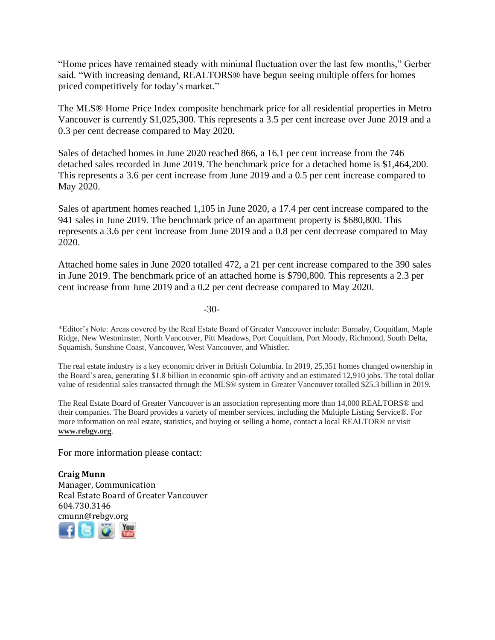"Home prices have remained steady with minimal fluctuation over the last few months," Gerber said. "With increasing demand, REALTORS® have begun seeing multiple offers for homes priced competitively for today's market."

The MLS® Home Price Index composite benchmark price for all residential properties in Metro Vancouver is currently \$1,025,300. This represents a 3.5 per cent increase over June 2019 and a 0.3 per cent decrease compared to May 2020.

Sales of detached homes in June 2020 reached 866, a 16.1 per cent increase from the 746 detached sales recorded in June 2019. The benchmark price for a detached home is \$1,464,200. This represents a 3.6 per cent increase from June 2019 and a 0.5 per cent increase compared to May 2020.

Sales of apartment homes reached 1,105 in June 2020, a 17.4 per cent increase compared to the 941 sales in June 2019. The benchmark price of an apartment property is \$680,800. This represents a 3.6 per cent increase from June 2019 and a 0.8 per cent decrease compared to May 2020.

Attached home sales in June 2020 totalled 472, a 21 per cent increase compared to the 390 sales in June 2019. The benchmark price of an attached home is \$790,800. This represents a 2.3 per cent increase from June 2019 and a 0.2 per cent decrease compared to May 2020.

-30-

\*Editor's Note: Areas covered by the Real Estate Board of Greater Vancouver include: Burnaby, Coquitlam, Maple Ridge, New Westminster, North Vancouver, Pitt Meadows, Port Coquitlam, Port Moody, Richmond, South Delta, Squamish, Sunshine Coast, Vancouver, West Vancouver, and Whistler.

The real estate industry is a key economic driver in British Columbia. In 2019, 25,351 homes changed ownership in the Board's area, generating \$1.8 billion in economic spin-off activity and an estimated 12,910 jobs. The total dollar value of residential sales transacted through the MLS® system in Greater Vancouver totalled \$25.3 billion in 2019.

The Real Estate Board of Greater Vancouver is an association representing more than 14,000 REALTORS® and their companies. The Board provides a variety of member services, including the Multiple Listing Service®. For more information on real estate, statistics, and buying or selling a home, contact a local REALTOR® or visit **www.rebgv.org**.

For more information please contact:

**Craig Munn** Manager, Communication Real Estate Board of Greater Vancouver 604.730.3146 cmunn@rebgv.orgYou

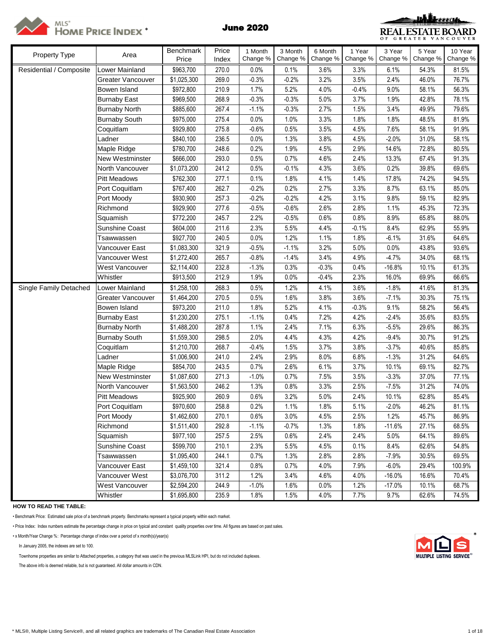

# MLS\*<br>Home Price Index \* June 2020



| Property Type           | Area                  | Benchmark   | Price | 1 Month  | 3 Month  | 6 Month  | 1 Year   | 3 Year   | 5 Year   | 10 Year  |
|-------------------------|-----------------------|-------------|-------|----------|----------|----------|----------|----------|----------|----------|
|                         |                       | Price       | Index | Change % | Change % | Change % | Change % | Change % | Change % | Change % |
| Residential / Composite | <b>Lower Mainland</b> | \$963,700   | 270.0 | 0.0%     | 0.1%     | 3.6%     | 3.3%     | 6.1%     | 54.3%    | 81.5%    |
|                         | Greater Vancouver     | \$1,025,300 | 269.0 | $-0.3%$  | $-0.2%$  | 3.2%     | 3.5%     | 2.4%     | 46.0%    | 76.7%    |
|                         | Bowen Island          | \$972,800   | 210.9 | 1.7%     | 5.2%     | 4.0%     | $-0.4%$  | 9.0%     | 58.1%    | 56.3%    |
|                         | <b>Burnaby East</b>   | \$969,500   | 268.9 | $-0.3%$  | $-0.3%$  | 5.0%     | 3.7%     | 1.9%     | 42.8%    | 78.1%    |
|                         | <b>Burnaby North</b>  | \$885,600   | 267.4 | $-1.1%$  | $-0.3%$  | 2.7%     | 1.5%     | 3.4%     | 49.9%    | 79.6%    |
|                         | <b>Burnaby South</b>  | \$975,000   | 275.4 | 0.0%     | 1.0%     | 3.3%     | 1.8%     | 1.8%     | 48.5%    | 81.9%    |
|                         | Coquitlam             | \$929,800   | 275.8 | $-0.6%$  | 0.5%     | 3.5%     | 4.5%     | 7.6%     | 58.1%    | 91.9%    |
|                         | Ladner                | \$840,100   | 236.5 | 0.0%     | 1.3%     | 3.8%     | 4.5%     | $-2.0%$  | 31.0%    | 58.1%    |
|                         | Maple Ridge           | \$780,700   | 248.6 | 0.2%     | 1.9%     | 4.5%     | 2.9%     | 14.6%    | 72.8%    | 80.5%    |
|                         | New Westminster       | \$666,000   | 293.0 | 0.5%     | 0.7%     | 4.6%     | 2.4%     | 13.3%    | 67.4%    | 91.3%    |
|                         | North Vancouver       | \$1,073,200 | 241.2 | 0.5%     | $-0.1%$  | 4.3%     | 3.6%     | 0.2%     | 39.8%    | 69.6%    |
|                         | <b>Pitt Meadows</b>   | \$762,300   | 277.1 | 0.1%     | 1.8%     | 4.1%     | 1.4%     | 17.8%    | 74.2%    | 94.5%    |
|                         | Port Coquitlam        | \$767,400   | 262.7 | $-0.2%$  | 0.2%     | 2.7%     | 3.3%     | 8.7%     | 63.1%    | 85.0%    |
|                         | Port Moody            | \$930,900   | 257.3 | $-0.2%$  | $-0.2%$  | 4.2%     | 3.1%     | 9.8%     | 59.1%    | 82.9%    |
|                         | Richmond              | \$929,900   | 277.6 | $-0.5%$  | $-0.6%$  | 2.6%     | 2.8%     | 1.1%     | 45.3%    | 72.3%    |
|                         | Squamish              | \$772,200   | 245.7 | 2.2%     | $-0.5%$  | 0.6%     | 0.8%     | 8.9%     | 65.8%    | 88.0%    |
|                         | Sunshine Coast        | \$604,000   | 211.6 | 2.3%     | 5.5%     | 4.4%     | $-0.1%$  | 8.4%     | 62.9%    | 55.9%    |
|                         | Tsawwassen            | \$927,700   | 240.5 | 0.0%     | 1.2%     | 1.1%     | 1.8%     | $-6.1%$  | 31.6%    | 64.6%    |
|                         | Vancouver East        | \$1,083,300 | 321.9 | $-0.5%$  | $-1.1%$  | 3.2%     | 5.0%     | 0.0%     | 43.8%    | 93.6%    |
|                         | Vancouver West        | \$1,272,400 | 265.7 | $-0.8%$  | $-1.4%$  | 3.4%     | 4.9%     | $-4.7%$  | 34.0%    | 68.1%    |
|                         | West Vancouver        | \$2,114,400 | 232.8 | $-1.3%$  | 0.3%     | $-0.3%$  | 0.4%     | $-16.8%$ | 10.1%    | 61.3%    |
|                         | Whistler              | \$913,500   | 212.9 | 1.9%     | 0.0%     | $-0.4%$  | 2.3%     | 16.0%    | 69.9%    | 66.6%    |
| Single Family Detached  | Lower Mainland        | \$1,258,100 | 268.3 | 0.5%     | 1.2%     | 4.1%     | 3.6%     | $-1.8%$  | 41.6%    | 81.3%    |
|                         | Greater Vancouver     | \$1,464,200 | 270.5 | 0.5%     | 1.6%     | 3.8%     | 3.6%     | $-7.1%$  | 30.3%    | 75.1%    |
|                         | Bowen Island          | \$973,200   | 211.0 | 1.8%     | 5.2%     | 4.1%     | $-0.3%$  | 9.1%     | 58.2%    | 56.4%    |
|                         | <b>Burnaby East</b>   | \$1,230,200 | 275.1 | $-1.1%$  | 0.4%     | 7.2%     | 4.2%     | $-2.4%$  | 35.6%    | 83.5%    |
|                         | <b>Burnaby North</b>  | \$1,488,200 | 287.8 | 1.1%     | 2.4%     | 7.1%     | 6.3%     | $-5.5%$  | 29.6%    | 86.3%    |
|                         | <b>Burnaby South</b>  | \$1,559,300 | 298.5 | 2.0%     | 4.4%     | 4.3%     | 4.2%     | $-9.4%$  | 30.7%    | 91.2%    |
|                         | Coquitlam             | \$1,210,700 | 268.7 | $-0.4%$  | 1.5%     | 3.7%     | 3.8%     | $-3.7%$  | 40.6%    | 85.8%    |
|                         | Ladner                | \$1,006,900 | 241.0 | 2.4%     | 2.9%     | 8.0%     | 6.8%     | $-1.3%$  | 31.2%    | 64.6%    |
|                         | Maple Ridge           | \$854,700   | 243.5 | 0.7%     | 2.6%     | 6.1%     | 3.7%     | 10.1%    | 69.1%    | 82.7%    |
|                         | New Westminster       | \$1,087,600 | 271.3 | $-1.0%$  | 0.7%     | 7.5%     | 3.5%     | $-3.3%$  | 37.0%    | 77.1%    |
|                         | North Vancouver       | \$1,563,500 | 246.2 | 1.3%     | 0.8%     | 3.3%     | 2.5%     | $-7.5%$  | 31.2%    | 74.0%    |
|                         | <b>Pitt Meadows</b>   | \$925,900   | 260.9 | 0.6%     | 3.2%     | 5.0%     | 2.4%     | 10.1%    | 62.8%    | 85.4%    |
|                         | Port Coquitlam        | \$970,600   | 258.8 | 0.2%     | 1.1%     | 1.8%     | 5.1%     | $-2.0%$  | 46.2%    | 81.1%    |
|                         | Port Moody            | \$1,462,600 | 270.1 | 0.6%     | 3.0%     | 4.5%     | 2.5%     | 1.2%     | 45.7%    | 86.9%    |
|                         | Richmond              | \$1,511,400 | 292.8 | $-1.1%$  | $-0.7%$  | 1.3%     | 1.8%     | $-11.6%$ | 27.1%    | 68.5%    |
|                         | Squamish              | \$977,100   | 257.5 | 2.5%     | 0.6%     | 2.4%     | 2.4%     | 5.0%     | 64.1%    | 89.6%    |
|                         | Sunshine Coast        | \$599,700   | 210.1 | 2.3%     | 5.5%     | 4.5%     | 0.1%     | 8.4%     | 62.6%    | 54.8%    |
|                         | Tsawwassen            | \$1,095,400 | 244.1 | 0.7%     | 1.3%     | 2.8%     | 2.8%     | $-7.9%$  | 30.5%    | 69.5%    |
|                         | Vancouver East        | \$1,459,100 | 321.4 | 0.8%     | 0.7%     | 4.0%     | 7.9%     | $-6.0%$  | 29.4%    | 100.9%   |
|                         | Vancouver West        | \$3,076,700 | 311.2 | 1.2%     | 3.4%     | 4.6%     | 4.0%     | $-16.0%$ | 16.6%    | 70.4%    |
|                         | West Vancouver        | \$2,594,200 | 244.9 | $-1.0%$  | 1.6%     | 0.0%     | 1.2%     | $-17.0%$ | 10.1%    | 68.7%    |
|                         | Whistler              | \$1,695,800 | 235.9 | 1.8%     | 1.5%     | 4.0%     | 7.7%     | 9.7%     | 62.6%    | 74.5%    |

**HOW TO READ THE TABLE:**

• Benchmark Price: Estimated sale price of a benchmark property. Benchmarks represent a typical property within each market.

• Price Index: Index numbers estimate the percentage change in price on typical and constant quality properties over time. All figures are based on past sales.

• x Month/Year Change %: Percentage change of index over a period of x month(s)/year(s) \*

In January 2005, the indexes are set to 100.

Townhome properties are similar to Attached properties, a category that was used in the previous MLSLink HPI, but do not included duplexes.

The above info is deemed reliable, but is not guaranteed. All dollar amounts in CDN.

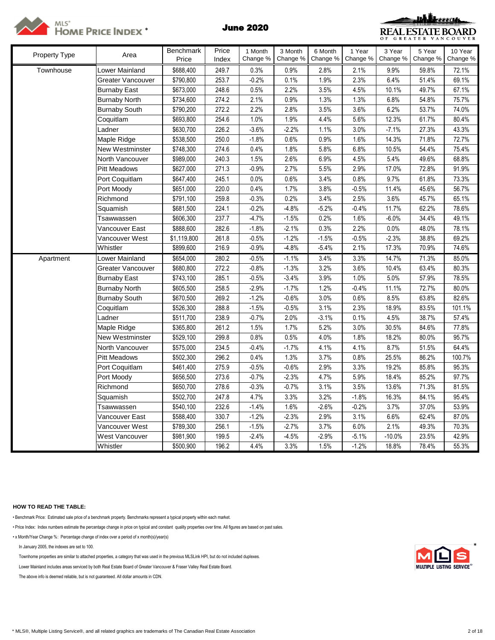



| Property Type | Area                  | <b>Benchmark</b> | Price | 1 Month  | 3 Month  | 6 Month  | 1 Year   | 3 Year   | 5 Year   | 10 Year  |
|---------------|-----------------------|------------------|-------|----------|----------|----------|----------|----------|----------|----------|
|               |                       | Price            | Index | Change % | Change % | Change % | Change % | Change % | Change % | Change % |
| Townhouse     | <b>Lower Mainland</b> | \$688,400        | 249.7 | 0.3%     | 0.9%     | 2.8%     | 2.1%     | 9.9%     | 59.8%    | 72.1%    |
|               | Greater Vancouver     | \$790,800        | 253.7 | $-0.2%$  | 0.1%     | 1.9%     | 2.3%     | 6.4%     | 51.4%    | 69.1%    |
|               | <b>Burnaby East</b>   | \$673,000        | 248.6 | 0.5%     | 2.2%     | 3.5%     | 4.5%     | 10.1%    | 49.7%    | 67.1%    |
|               | <b>Burnaby North</b>  | \$734,600        | 274.2 | 2.1%     | 0.9%     | 1.3%     | 1.3%     | 6.8%     | 54.8%    | 75.7%    |
|               | <b>Burnaby South</b>  | \$790,200        | 272.2 | 2.2%     | 2.8%     | 3.5%     | 3.6%     | 6.2%     | 53.7%    | 74.0%    |
|               | Coquitlam             | \$693,800        | 254.6 | 1.0%     | 1.9%     | 4.4%     | 5.6%     | 12.3%    | 61.7%    | 80.4%    |
|               | Ladner                | \$630,700        | 226.2 | $-3.6%$  | $-2.2%$  | 1.1%     | 3.0%     | $-7.1%$  | 27.3%    | 43.3%    |
|               | Maple Ridge           | \$538,500        | 250.0 | $-1.8%$  | 0.6%     | 0.9%     | 1.6%     | 14.3%    | 71.8%    | 72.7%    |
|               | New Westminster       | \$748,300        | 274.6 | 0.4%     | 1.8%     | 5.8%     | 6.8%     | 10.5%    | 54.4%    | 75.4%    |
|               | North Vancouver       | \$989,000        | 240.3 | 1.5%     | 2.6%     | 6.9%     | 4.5%     | 5.4%     | 49.6%    | 68.8%    |
|               | <b>Pitt Meadows</b>   | \$627,000        | 271.3 | $-0.9%$  | 2.7%     | 5.5%     | 2.9%     | 17.0%    | 72.8%    | 91.9%    |
|               | Port Coquitlam        | \$647,400        | 245.1 | 0.0%     | 0.6%     | 3.4%     | 0.8%     | 9.7%     | 61.8%    | 73.3%    |
|               | Port Moody            | \$651,000        | 220.0 | 0.4%     | 1.7%     | 3.8%     | $-0.5%$  | 11.4%    | 45.6%    | 56.7%    |
|               | Richmond              | \$791,100        | 259.8 | $-0.3%$  | 0.2%     | 3.4%     | 2.5%     | 3.6%     | 45.7%    | 65.1%    |
|               | Squamish              | \$681,500        | 224.1 | $-0.2%$  | $-4.8%$  | $-5.2%$  | $-0.4%$  | 11.7%    | 62.2%    | 78.6%    |
|               | Tsawwassen            | \$606,300        | 237.7 | $-4.7%$  | $-1.5%$  | 0.2%     | 1.6%     | $-6.0%$  | 34.4%    | 49.1%    |
|               | √ancouver East        | \$888,600        | 282.6 | $-1.8%$  | $-2.1%$  | 0.3%     | 2.2%     | 0.0%     | 48.0%    | 78.1%    |
|               | Vancouver West        | \$1,119,800      | 261.8 | $-0.5%$  | $-1.2%$  | $-1.5%$  | $-0.5%$  | $-2.3%$  | 38.8%    | 69.2%    |
|               | Whistler              | \$899,600        | 216.9 | $-0.9%$  | $-4.8%$  | $-5.4%$  | 2.1%     | 17.3%    | 70.9%    | 74.6%    |
| Apartment     | Lower Mainland        | \$654,000        | 280.2 | $-0.5%$  | $-1.1%$  | 3.4%     | 3.3%     | 14.7%    | 71.3%    | 85.0%    |
|               | Greater Vancouver     | \$680,800        | 272.2 | $-0.8%$  | $-1.3%$  | 3.2%     | 3.6%     | 10.4%    | 63.4%    | 80.3%    |
|               | <b>Burnaby East</b>   | \$743,100        | 285.1 | $-0.5%$  | $-3.4%$  | 3.9%     | 1.0%     | 5.0%     | 57.9%    | 78.5%    |
|               | <b>Burnaby North</b>  | \$605,500        | 258.5 | $-2.9%$  | $-1.7%$  | 1.2%     | $-0.4%$  | 11.1%    | 72.7%    | 80.0%    |
|               | <b>Burnaby South</b>  | \$670,500        | 269.2 | $-1.2%$  | $-0.6%$  | 3.0%     | 0.6%     | 8.5%     | 63.8%    | 82.6%    |
|               | Coquitlam             | \$526,300        | 288.8 | $-1.5%$  | $-0.5%$  | 3.1%     | 2.3%     | 18.9%    | 83.5%    | 101.1%   |
|               | Ladner                | \$511,700        | 238.9 | $-0.7%$  | 2.0%     | $-3.1%$  | 0.1%     | 4.5%     | 38.7%    | 57.4%    |
|               | Maple Ridge           | \$365,800        | 261.2 | 1.5%     | 1.7%     | 5.2%     | 3.0%     | 30.5%    | 84.6%    | 77.8%    |
|               | New Westminster       | \$529,100        | 299.8 | 0.8%     | 0.5%     | 4.0%     | 1.8%     | 18.2%    | 80.0%    | 95.7%    |
|               | North Vancouver       | \$575,000        | 234.5 | $-0.4%$  | $-1.7%$  | 4.1%     | 4.1%     | 8.7%     | 51.5%    | 64.4%    |
|               | <b>Pitt Meadows</b>   | \$502,300        | 296.2 | 0.4%     | 1.3%     | 3.7%     | 0.8%     | 25.5%    | 86.2%    | 100.7%   |
|               | Port Coquitlam        | \$461,400        | 275.9 | $-0.5%$  | $-0.6%$  | 2.9%     | 3.3%     | 19.2%    | 85.8%    | 95.3%    |
|               | Port Moody            | \$656,500        | 273.6 | $-0.7%$  | $-2.3%$  | 4.7%     | 5.9%     | 18.4%    | 85.2%    | 97.7%    |
|               | Richmond              | \$650,700        | 278.6 | $-0.3%$  | $-0.7%$  | 3.1%     | 3.5%     | 13.6%    | 71.3%    | 81.5%    |
|               | Squamish              | \$502,700        | 247.8 | 4.7%     | 3.3%     | 3.2%     | $-1.8%$  | 16.3%    | 84.1%    | 95.4%    |
|               | Tsawwassen            | \$540,100        | 232.6 | $-1.4%$  | 1.6%     | $-2.6%$  | $-0.2%$  | 3.7%     | 37.0%    | 53.9%    |
|               | Vancouver East        | \$588,400        | 330.7 | $-1.2%$  | $-2.3%$  | 2.9%     | 3.1%     | 6.6%     | 62.4%    | 87.0%    |
|               | √ancouver West        | \$789,300        | 256.1 | $-1.5%$  | $-2.7%$  | 3.7%     | 6.0%     | 2.1%     | 49.3%    | 70.3%    |
|               | West Vancouver        | \$981,900        | 199.5 | $-2.4%$  | $-4.5%$  | $-2.9%$  | $-5.1%$  | $-10.0%$ | 23.5%    | 42.9%    |
|               | Whistler              | \$500,900        | 196.2 | 4.4%     | 3.3%     | 1.5%     | $-1.2%$  | 18.8%    | 78.4%    | 55.3%    |

## **HOW TO READ THE TABLE:**

• Benchmark Price: Estimated sale price of a benchmark property. Benchmarks represent a typical property within each market.

• Price Index: Index numbers estimate the percentage change in price on typical and constant quality properties over time. All figures are based on past sales.

• x Month/Year Change %: Percentage change of index over a period of x month(s)/year(s)

In January 2005, the indexes are set to 100. \*

Townhome properties are similar to attached properties, a category that was used in the previous MLSLink HPI, but do not included duplexes.

Lower Mainland includes areas serviced by both Real Estate Board of Greater Vancouver & Fraser Valley Real Estate Board.

The above info is deemed reliable, but is not guaranteed. All dollar amounts in CDN.

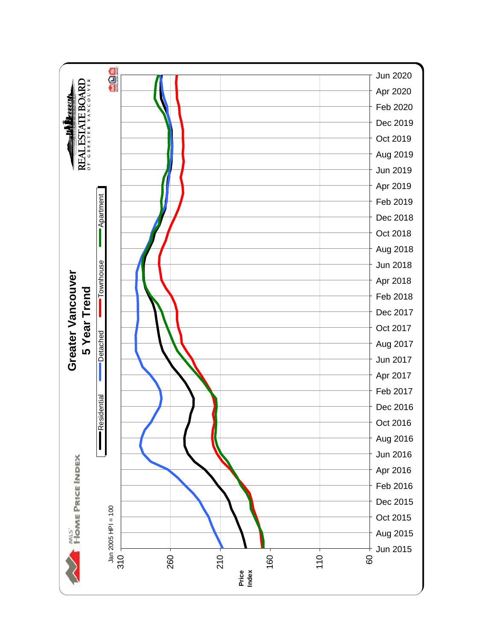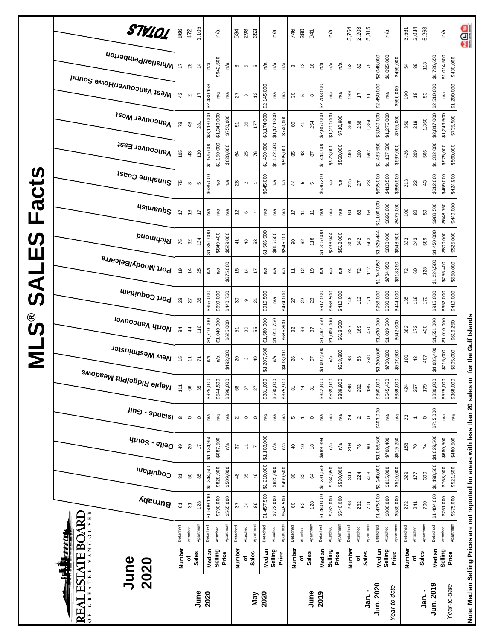|                      | STV101                                               | 866        | 472               | 1,105                    |             | n/a                     |           | 534               | 298                                                           | 653             |                           | n/a         |           | 746                    | 390                      | 941                   |             | n/a         |           | 3,764          | 2,203             | 5,315                 |             | n/a                     |           | 3,561  | 5,263<br>2,034                 |                | n/a                        |              | age                                                                               |
|----------------------|------------------------------------------------------|------------|-------------------|--------------------------|-------------|-------------------------|-----------|-------------------|---------------------------------------------------------------|-----------------|---------------------------|-------------|-----------|------------------------|--------------------------|-----------------------|-------------|-------------|-----------|----------------|-------------------|-----------------------|-------------|-------------------------|-----------|--------|--------------------------------|----------------|----------------------------|--------------|-----------------------------------------------------------------------------------|
|                      | Whistler/Pemberton                                   | 17         | $28$              | $\frac{4}{4}$            | n/a         | \$942,500               | n/a       | 3                 | စ                                                             | $\mathbf \circ$ | n/a                       | n/a         | n/a       | $^{\circ}$             | $\tilde{\mathfrak{c}}$   | $\frac{6}{5}$         | n/a         | n/a         | n/a       | 52             | 82                | 75                    | \$2,048,000 | \$1,095,000             | \$495,000 | 54     | $_{\rm 89}$                    | 113            | \$1,726,650<br>\$1,014,500 | \$430,000    |                                                                                   |
|                      | Mest Vancouver/Howe Sound                            | $\sqrt{3}$ | $\sim$            | 4                        | \$2,430,158 | $n/a$                   | n/a       | 27                | $\mathfrak{g}$                                                | 57              | \$2,145,000               | n/a         | n/a       | $30\,$                 | $\mathfrak{S}$           | $\infty$              | \$2,703,500 | n/a         | n/a       | 199            | 17                | 56                    | \$2,450,000 | n/a                     | \$956,000 | 190    | $\overset{\circ}{\phantom{a}}$ | S3             | \$2,510,000<br>n/a         | \$1,200,000  |                                                                                   |
|                      | <b>Vancouver West</b>                                | 78         | $48$              | 281                      | \$3,113,000 | \$1,340,000             | \$750,000 | 51                | 36                                                            | 177             | \$3,174,000               | \$1,174,000 | \$740,000 | $\mbox{6}$             | $\frac{4}{7}$            | 254                   | \$2,850,000 | \$1,200,000 | \$710,900 | 369            | 238               | 1,366                 | \$3,040,000 | \$1,275,000             | \$755,000 | 350    | 219                            | 1,360          | \$2,817,000<br>\$1,249,500 | \$735,500    |                                                                                   |
|                      | Vancouver East                                       | 105        | 43                | 130                      | \$1,525,000 | \$1,150,000             | \$620,000 | 64                | 25                                                            | 76              | \$1,450,000               | \$1,172,500 | \$595,000 | 85                     | $43\,$                   | 2g                    | \$1,444,000 | \$973,000   | \$560,000 | 466            | 200               | 592                   | \$1,483,500 | \$1,107,500             | \$597,000 | 426    | 209                            | 566            | \$1,382,000<br>\$975,000   | \$560,000    |                                                                                   |
| Facts                | Sunshine Coast                                       | 75         | $\infty$          | $\mathfrak{S}$           | \$685,000   | n/a                     | n′a       | 28                | $\mathbf{\Omega}$                                             |                 | \$645,000                 | ηã          | n/a       | $\frac{4}{4}$          | $\mathfrak{S}$           | Б                     | \$636,250   | ρÅ          | n/a       | 225            | 27                | 23                    | \$635,000   | \$413,500               | \$395,500 | 213    | $33\,$                         | 43             | \$469,000<br>\$612,000     | \$424,900    |                                                                                   |
|                      | <b>Asimsup2</b>                                      | 17         | $\frac{8}{2}$     | 17                       | n/a         | n/a                     | n/a       | 2                 | $\mathbf  \, \mathbf  \, \mathbf  \, \mathbf  \, \mathbf  \,$ | 4               | n/a                       | n/a         | n/a       | 17                     | $\overleftarrow{\cdot}$  | Ξ                     | n/a         | ്ദ          | n/a       | $\overline{a}$ | ස                 | 58                    | \$1,100,000 | \$695,000               | \$475,000 | 100    | $82$                           | S9             | \$648,750<br>\$983,500     | \$440,000    |                                                                                   |
| <b>S</b><br>Ш        | Richmond                                             | 75         | $62\,$            | 134                      | \$1,351,000 | \$849,400               | \$529,000 | 4                 | $48$                                                          | 63              | \$1,566,500               | \$815,500   | \$545,100 | $\rm 90$               | $\mbox{ }^{\rm o}$       | 118                   | \$1,315,000 | \$736,944   | \$512,000 | 353            | 342               | 663                   | \$1,529,444 | \$830,000               | \$548,900 | 333    | 243                            | 589            | \$1,450,000<br>\$800,000   | \$525,000    |                                                                                   |
| $\blacktriangleleft$ | Port Moody/Belcarra                                  | é,         | $\tilde{4}$       | 25                       | ്ദ          | n/a                     | \$675,000 | 45                | $\tilde{4}$                                                   | 17              | n/a                       | n/a         | n/a       | $\tilde{=}$            | $\tilde{c}$              | $\overline{6}$        | n/a         | ്ദ          | n/a       | 74             | $\overline{z}$    | 112                   | \$1,347,050 | \$734,950               | \$618,250 | 72     | $\mbox{6}$                     | 128            | \$1,226,500<br>\$755,400   | \$550,000    |                                                                                   |
| ၯ                    | Port Coquitlam                                       | 28         | 27                | 36                       | \$956,000   | \$699,000               | \$440,750 | $\boldsymbol{30}$ | $\, \circ \,$                                                 | 21              | \$915,500                 | n/a         | \$474,000 | 27                     | 22                       | 28                    | \$917,500   | \$668,500   | \$410,000 | 149            | 112               | 171                   | \$956,000   | \$690,000               | \$444,000 | 135    | 119                            | 172            | \$915,000<br>\$652,000     | \$410,000    |                                                                                   |
| ©<br>ဟ               | North Vancouver                                      | 84         | $\frac{4}{3}$     | 110                      | \$1,710,000 | \$1,040,000             | \$625,000 | 51                | $30\,$                                                        | 55              | \$1,580,000               | \$1,011,750 | \$685,800 | $82$                   | $33\,$                   | 5                     | \$1,492,550 | \$1,009,000 | \$618,500 | 337            | 169               | 470                   | \$1,630,000 | \$1,039,500             | \$642,000 | 382    | 173                            | 430            | \$1,010,000<br>\$1,551,000 | \$616,250    | for the Gulf Islands                                                              |
| Σ                    | New Westminster                                      | 45         | $\overline{\tau}$ | 71                       | ηã          | n/a                     | \$492,000 | $\approx$         | $\mathfrak{S}$                                                | 49              | \$1,207,500               | n/a         | \$493,000 | 26                     | $\overline{\phantom{a}}$ | 67                    | \$1,002,500 | n/a         | \$518,800 | 93             | 53                | 340                   | \$1,200,000 | \$700,000               | \$507,500 | 100    | $43\,$                         | 407            | \$1,085,400<br>\$715,000   | \$505,000    |                                                                                   |
|                      | <sup>Maple Ridge/Pitt Meadows</sup>                  | 111        | 66                | 35                       | \$925,000   | \$544,500               | \$396,000 | 68                | $\sqrt{6}$                                                    | $\overline{27}$ | \$881,000                 | \$560,000   | \$375,900 | $\overline{\infty}$    | $\frac{4}{4}$            | $\overline{5}$        | \$842,800   | \$539,000   | \$389,900 | 498            | 292               | 185                   | \$890,000   | \$545,450               | \$389,000 | 424    | 257                            | 179            | \$830,000<br>\$525,000     | \$368,000    |                                                                                   |
|                      | $\mu$ ng - spuelsl                                   | $\infty$   | $\circ$           | $\circ$                  | n/a         | $\mathsf{n}^\mathsf{d}$ | ηá        | $\mathbf{z}$      | $\circ$                                                       | $\circ$         | $\mathbb{R}^{\mathsf{d}}$ | n/a         | ηá        | 5                      | $\overline{ }$           | $\circ$               | ΡÅ          | n/a         | n/a       | 24             | $\mathbf{\Omega}$ | $\circ$               | \$403,000   | $\mathsf{n}/\mathsf{a}$ | n/a       | 23     | $\leftarrow$                   | $\circ$        | \$715,000<br>$n/a$         | n′a          |                                                                                   |
|                      | $q_{100}$ s - $e_{110}$                              | 49         | $\overline{c}$    | $\overline{\phantom{a}}$ | \$1,124,950 | \$687,500               | n/a       | 57                | $\overline{\tau}$                                             | $\overline{ }$  | \$1,108,000               | n/a         | n'a       | $\overline{a}$         | $\overline{\phantom{0}}$ | $\frac{8}{3}$         | \$989,394   | n/a         | n/a       | 209            | $\overline{78}$   | $\rm S$               | \$1,066,500 | \$708,400               | \$519,250 | 158    | $\overline{C}$                 | $\overline{7}$ | \$1,029,500<br>\$680,500   | \$480,500    |                                                                                   |
|                      | Coquitlam                                            | 5          | 8                 | 85                       | \$1,244,500 | \$828,900               | \$509,000 | 48                | 35                                                            | $\mathfrak{g}$  | \$1,210,000               | \$825,000   | \$499,500 | 80                     | $\rm 32$                 | \$                    | \$1,231,548 | \$784,950   | \$530,000 | 344            | 224               | 413                   | \$1,240,000 | \$815,000               | \$510,000 | 329    | 177                            | 390            | \$1,198,500<br>\$768,900   | \$521,500    |                                                                                   |
|                      | Burnaby                                              | 61         | $\overline{3}$    | 128                      | \$1,509,110 | \$790,000               | \$565,000 | 57                | $\frac{4}{3}$                                                 | $_{\rm 83}$     | \$1,457,500               | \$772,000   | \$545,500 | $\mbox{ }^\mathrm{SO}$ | $52\,$                   | 128                   | \$1,440,000 | \$763,000   | \$540,000 | 288            | 232               | 701                   | \$1,475,000 | \$800,000               | \$585,000 | 272    | 241                            | 700            | \$1,404,000<br>\$761,000   | \$575,000    |                                                                                   |
|                      | VANCOUVER<br><b>AL ESTATE BOARD</b><br><u>ettell</u> | Detached   | Attached          | Apartmen                 | Detached    | Attached                | Apartment | Detached          | Attached                                                      | Apartmen        | Detached                  | Attached    | Apartment | Detached               | Attached                 | Apartmen <sup>-</sup> | Detached    | Attached    | Apartment | Detached       | Attached          | Apartmen <sup>-</sup> | Detached    | Apartmen<br>Attached    | Detached  |        | Apartment<br>Attached          | Detached       | Attached                   | Apartment    |                                                                                   |
|                      | June<br>ئا<br>ا<br>2020                              | Number     | Sales<br>٥        |                          | Median      | Selling<br>Price        |           | Number            | ٥                                                             | Sales           | Median<br>Selling         |             | Price     | Number                 | ٥                        | <b>Sales</b>          | Median      | Selling     | Price     | Number         | Sales<br>ō        |                       | Median      | Selling<br>Price        |           | Number | <b>Sales</b><br>٥ť             |                | Median<br>Selling          | Price        |                                                                                   |
|                      | GREATER<br>$\overline{\text{RE}}$<br>$\overline{0}$  |            |                   | June                     | 2020        |                         |           |                   |                                                               | Vay             | 2020                      |             |           |                        |                          | June                  | 2019        |             |           |                |                   | Jan. -                | Jun. 2020   | Year-to-date            |           |        | Jan. -                         | Jun. 2019      |                            | Year-to-date | Note: Median Selling Prices are not reported for areas with less than 20 sales or |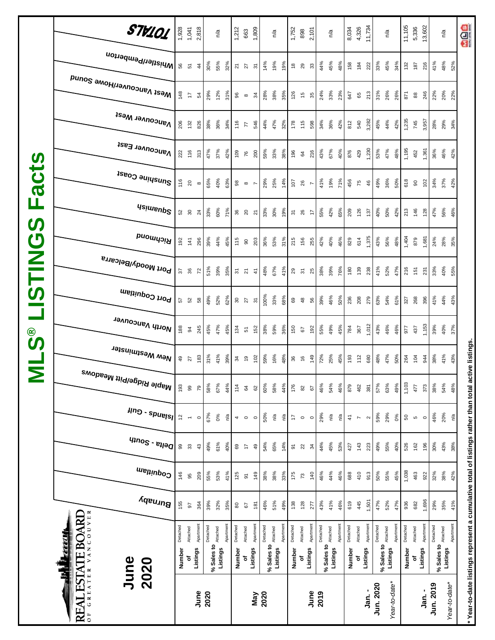|                         | STV101                                           |                           | 1,928<br>1,041           | 2,818          |          | n/a                    |           | 1,212    | 663                      | 1,809                   |            | n/a                   |           | 1,752          | 898                       | 2,101      |            | n/a             |           | 8,034         | 4,326                    | 11,734              |            | $n^{\prime}a$ |                      | 11,105 | 13,602<br>5,336           |              | n/a                 |                         | age                                                                                                 |
|-------------------------|--------------------------------------------------|---------------------------|--------------------------|----------------|----------|------------------------|-----------|----------|--------------------------|-------------------------|------------|-----------------------|-----------|----------------|---------------------------|------------|------------|-----------------|-----------|---------------|--------------------------|---------------------|------------|---------------|----------------------|--------|---------------------------|--------------|---------------------|-------------------------|-----------------------------------------------------------------------------------------------------|
|                         | Whistler/Pemberton                               |                           | 56                       | $\frac{4}{4}$  | 30%      | 55%                    | 32%       |          | $\frac{1}{2}$            | $\overline{5}$          | 14%        | 19%                   | 19%       | $\frac{8}{2}$  | 29                        | $33\,$     | 44%        | 45%             | 48%       | 158           | 184                      | 222                 | 33%        | 45%           | 34%                  | 132    | 187                       | 216<br>41%   | 48%                 | 52%                     |                                                                                                     |
|                         | <sub>Me2t</sub> <sub>N</sub> aucon∧el\Home 2onuq | 148                       | $\overline{\phantom{a}}$ | 54             | 29%      | 12%                    | 31%       | 96       | $\infty$                 | 34                      | 28%        | 38%                   | 35%       | 126            | 15                        | 35         | 24%        | 33%             | 23%       | 647           | 65                       | 213                 | 31%        | 26%           | 26%                  | 871    | $_{88}$                   | 22%<br>246   | 20%                 | 22%                     |                                                                                                     |
|                         | <b>Vancouver West</b>                            | 206                       | 132                      | 826            | 38%      | 36%                    | 34%       | 116      | 77                       | 546                     | 44%        | 47%                   | 32%       | 178            | $115$                     | 598        | 34%        | 36%             | 42%       | 812           | 540                      | 3,282               | 45%        | 44%           | 42%                  | 1,235  | 745                       | 3,957<br>28% | 29%                 | 34%                     |                                                                                                     |
|                         | Vancouver East                                   | 222                       | 116                      | 313            | 47%      | 37%                    | 42%       | 109      | 76                       | 200                     | 59%        | 33%                   | 38%       | 196            | 64                        | 216        | 43%        | 67%             | 40%       | 876           | 429                      | ,230                | 53%        | 47%           | 48%                  | 1,195  | 452                       | 1,361<br>36% | 46%                 | 42%                     |                                                                                                     |
| acts                    | Sunshine Coast                                   | 116                       | $\overline{c}$           | $\infty$       | 65%      | 40%                    | 63%       | $98$     | $\infty$                 | $\overline{ }$          | 29%        | 25%                   | 14%       | 107            | 26                        |            | 41%        | 19%             | 71%       | 456           | 75                       | 46                  | 49%        | 36%           | 50%                  | 618    | $\rm 90$                  | 34%<br>102   | 37%                 | 42%                     |                                                                                                     |
| ட                       | <b>Asimeup<sup>2</sup></b>                       |                           | 52 30                    | $^{24}$        | 33%      | 60%                    | 71%       | 36       | $\overline{c}$           | $\overline{\mathbf{c}}$ | 33%        | 30%                   | 19%       | $\overline{5}$ | 26                        | $\ddot{ }$ | 55%        | 42%             | 65%       | 209           | 126                      | 137                 | 40%        | 50%           | 42%                  | 213    | 146                       | 47%<br>128   | 56%                 | 46%                     |                                                                                                     |
| $\boldsymbol{\omega}$   | Richmond                                         | 192                       | 141                      | 296            | 39%      | 44%                    | 45%       | 115      | $\mathsf{S}$             | 203                     | 36%        | 53%                   | 31%       | 215            | 156                       | 255        | 42%        | 40%             | 46%       | 829           | 614                      | 1,375               | 43%        | 56%           | 48%                  | 1,404  | 1,681<br>879              | 24%          | 28%                 | 35%                     |                                                                                                     |
| <b>UISTING</b>          | <sup>, Port Moody/Belcarra</sup>                 |                           | 37                       | $\overline{z}$ | 51%      | 39%                    | 35%       |          | $\frac{1}{2}$            | $\ddot{+}$              | 48%        | 67%                   | 41%       | 29             | $\overline{\mathfrak{c}}$ | 25         | 38%        | 39%             | 76%       | 180           | 139                      | 238                 | 41%        | 52%           | 47%                  | 216    | 151                       | 33%<br>231   | 40%                 | 55%                     |                                                                                                     |
|                         | Port Coquitlam                                   |                           | 57<br>52<br>58           |                | 49%      | 52%                    | 62%       |          | $\frac{2}{2}$            | $\overline{5}$          | 100%       | 33%                   | 68%       | 69             | 48                        | 56         | 39%        | 46%             | 50%       | 236           | 208                      | 279                 | 63%        | 54%           | 61%                  | 327    | 268                       | 41%<br>396   | 44%                 | 43%                     |                                                                                                     |
| ိ<br>ဟ                  | North Vancouver                                  | 188                       | 94                       | 245            | 45%      | 47%                    | 45%       | 134      | 51                       | 152                     | 38%        | 59%                   | 36%       | 150            | 67                        | 192        | 55%        | 49%             | 45%       | 784           | 367                      | 1,012               | 43%        | 46%           | 46%                  | 977    | 437                       | 1,153<br>39% | 40%                 | 37%                     |                                                                                                     |
| $\overline{\mathsf{z}}$ | New Westminster                                  | 49                        | 77                       | 183            | 31%      | 41%                    | 39%       | 34       | $\tilde{e}$              | 102                     | 59%        | 16%                   | 48%       | 36             | $\frac{6}{5}$             | 149        | 72%        | 25%             | 45%       | 193           | 112                      | 680                 | 48%        | 47%           | 50%                  | 264    | $\tilde{g}$               | 38%<br>944   | 41%                 | 43%                     |                                                                                                     |
|                         | , <sup>Maple Ridge/Pitt Meadows</sup>            | 193                       | 99                       | 79             | 58%      | 67%                    | 44%       | 114      | 64                       | $\mbox{ }^{\rm o}$      | 60%        | 58%                   | 44%       | 176            | $82$                      | 67         | 46%        | 54%             | 46%       | 879           | 462                      | 381                 | 57%        | 63%           | 49%                  | 1,103  | 477                       | 373<br>38%   | 54%                 | 48%                     |                                                                                                     |
|                         | $\mu$ ng - spuelsl                               | $\overline{\mathfrak{c}}$ | $\overline{\phantom{a}}$ | $\circ$        | 67%      | 0%                     | n/a       | 4        | $\circ$                  | $\circ$                 | 50%        | $\tilde{\mathcal{S}}$ | n′a       | 17             | $\circ$                   | $\circ$    | 29%        | $\mathsf{n}'$ a | ρÅ        | $\frac{4}{7}$ | $\overline{\phantom{a}}$ | $\boldsymbol{\sim}$ | 59%        | 29%           | 0%                   | 50     | $\mathfrak{g}$<br>$\circ$ | 46%          | 20%                 | $\mathsf{r}^\mathsf{a}$ |                                                                                                     |
|                         | $q_{100}$ s - $e_{110}$                          | 8                         | $33\,$                   | 43             | 49%      | 61%                    | 40%       | 69       | $\overline{\phantom{a}}$ | $\overline{49}$         | 54%        | 65%                   | 14%       | $\overline{5}$ | 22                        | 34         | 44%        | 45%             | 53%       | 427           | 143                      | 223                 | 49%        | 55%           | 40%                  | 526    | 162                       | 30%<br>196   | 43%                 | 38%                     |                                                                                                     |
|                         | Coquitlam                                        | 146                       | 95                       | 209            | 55%      | 53%                    | 41%       | 125      | $\delta$                 | 149                     | 38%        | 38%                   | 33%       | 175            | 73                        | 140        | 46%        | 44%             | 46%       | 688           | 410                      | 913                 | 50%        | 55%           | 45%                  | 1,038  | 463                       | 32%<br>922   | 38%                 | 42%                     |                                                                                                     |
|                         | Burnaby                                          | 155                       | $\overline{9}$           | 364            | 39%      | 32%                    | 35%       | $80$     | 67                       | 181                     | 46%        | 51%                   | 49%       | 138            | 128                       | 277        | 43%        | 41%             | 46%       | 619           | 445                      | 1,501               | 47%        | 52%           | 47%                  | 936    | 682                       | 1,696<br>29% | 35%                 | 41%                     |                                                                                                     |
|                         | ESTATE BOARD<br><u>ektil</u>                     | Detached                  | Attached                 | Apartment      | Detached | Attached               | Apartment | Detached | Attached                 | Apartment               | Detached   | Attached              | Apartment | Detached       | Attached                  | Apartment  | Detached   | Attached        | Apartment | Detached      | Attached                 | Apartment           | Detached   | Attached      | Apartmen<br>Detached |        | Apartment<br>Attached     | Detached     |                     | Apartment               |                                                                                                     |
|                         | June<br>2020<br>Ę                                | Number                    | ъ                        | Listings       |          | % Sales to<br>Listings |           | Number   | đ                        | Listings                | % Sales to | Listings              |           | Number         | ō                         | Listings   | % Sales to | Listings        |           | Number        | Listings<br>ō            |                     | % Sales to | Listings      |                      | Number | Listings<br>٥ť            |              | % Sales to Attached | Listings                |                                                                                                     |
|                         | GREATER<br>$\mathbf{N}$<br>RE<br>$\overline{0}$  |                           |                          | June           | 2020     |                        |           |          |                          | Vay                     | 2020       |                       |           |                |                           | June       | 2019       |                 |           |               |                          | Jan. -              | Jun. 2020  | Year-to-date* |                      |        | _<br>ក្នុ                 | Jun. 2019    |                     | Year-to-date*           | * Year-to-date listings represent a cumulative total of listings rather than total active listings. |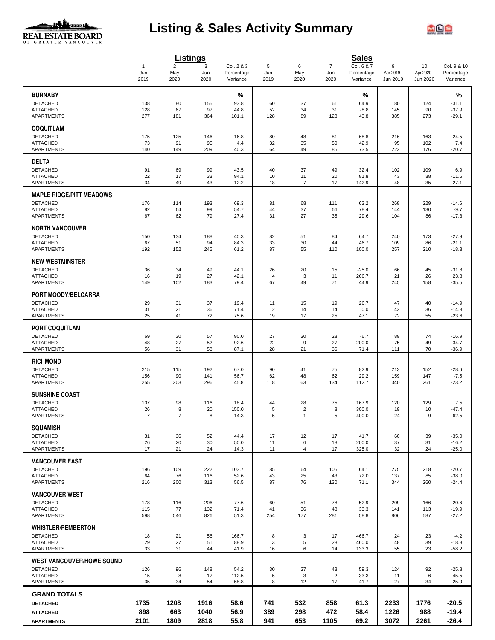

# **Listing & Sales Activity Summary**



|                                          |                |                       | <b>Listings</b> |                          |                      |                |                       | <b>Sales</b>             |                 |                  |                           |
|------------------------------------------|----------------|-----------------------|-----------------|--------------------------|----------------------|----------------|-----------------------|--------------------------|-----------------|------------------|---------------------------|
|                                          | 1<br>Jun       | $\overline{2}$<br>May | 3<br>Jun        | Col. 2 & 3<br>Percentage | 5<br>Jun             | 6<br>May       | $\overline{7}$<br>Jun | Col. 6 & 7<br>Percentage | 9<br>Apr 2019 - | 10<br>Apr 2020 - | Col. 9 & 10<br>Percentage |
|                                          | 2019           | 2020                  | 2020            | Variance                 | 2019                 | 2020           | 2020                  | Variance                 | Jun 2019        | Jun 2020         | Variance                  |
| <b>BURNABY</b>                           |                |                       |                 |                          |                      |                |                       |                          |                 |                  |                           |
| <b>DETACHED</b>                          | 138            | 80                    | 155             | %<br>93.8                | 60                   | 37             | 61                    | %<br>64.9                | 180             | 124              | %<br>$-31.1$              |
| <b>ATTACHED</b>                          | 128            | 67                    | 97              | 44.8                     | 52                   | 34             | 31                    | $-8.8$                   | 145             | 90               | $-37.9$                   |
| <b>APARTMENTS</b>                        | 277            | 181                   | 364             | 101.1                    | 128                  | 89             | 128                   | 43.8                     | 385             | 273              | $-29.1$                   |
| <b>COQUITLAM</b>                         |                |                       |                 |                          |                      |                |                       |                          |                 |                  |                           |
| <b>DETACHED</b>                          | 175            | 125                   | 146             | 16.8                     | 80                   | 48             | 81                    | 68.8                     | 216             | 163              | $-24.5$                   |
| <b>ATTACHED</b><br><b>APARTMENTS</b>     | 73<br>140      | 91<br>149             | 95<br>209       | 4.4<br>40.3              | 32<br>64             | 35<br>49       | 50<br>85              | 42.9<br>73.5             | 95<br>222       | 102<br>176       | 7.4<br>$-20.7$            |
|                                          |                |                       |                 |                          |                      |                |                       |                          |                 |                  |                           |
| <b>DELTA</b>                             |                |                       |                 |                          |                      |                |                       |                          |                 |                  |                           |
| <b>DETACHED</b><br><b>ATTACHED</b>       | 91<br>22       | 69<br>17              | 99<br>33        | 43.5<br>94.1             | 40<br>10             | 37<br>11       | 49<br>20              | 32.4<br>81.8             | 102<br>43       | 109<br>38        | 6.9<br>$-11.6$            |
| APARTMENTS                               | 34             | 49                    | 43              | $-12.2$                  | 18                   | $\overline{7}$ | 17                    | 142.9                    | 48              | 35               | $-27.1$                   |
| <b>MAPLE RIDGE/PITT MEADOWS</b>          |                |                       |                 |                          |                      |                |                       |                          |                 |                  |                           |
| <b>DETACHED</b>                          | 176            | 114                   | 193             | 69.3                     | 81                   | 68             | 111                   | 63.2                     | 268             | 229              | $-14.6$                   |
| <b>ATTACHED</b>                          | 82             | 64                    | 99              | 54.7                     | 44                   | 37             | 66                    | 78.4                     | 144             | 130              | $-9.7$                    |
| <b>APARTMENTS</b>                        | 67             | 62                    | 79              | 27.4                     | 31                   | 27             | 35                    | 29.6                     | 104             | 86               | $-17.3$                   |
| <b>NORTH VANCOUVER</b>                   |                |                       |                 |                          |                      |                |                       |                          |                 |                  |                           |
| <b>DETACHED</b>                          | 150            | 134                   | 188             | 40.3                     | 82                   | 51             | 84                    | 64.7                     | 240             | 173              | $-27.9$                   |
| <b>ATTACHED</b><br><b>APARTMENTS</b>     | 67<br>192      | 51<br>152             | 94<br>245       | 84.3<br>61.2             | 33<br>87             | 30<br>55       | 44<br>110             | 46.7<br>100.0            | 109<br>257      | 86<br>210        | $-21.1$<br>$-18.3$        |
|                                          |                |                       |                 |                          |                      |                |                       |                          |                 |                  |                           |
| <b>NEW WESTMINSTER</b>                   |                |                       |                 |                          |                      |                |                       |                          |                 |                  |                           |
| <b>DETACHED</b><br><b>ATTACHED</b>       | 36<br>16       | 34<br>19              | 49<br>27        | 44.1<br>42.1             | 26<br>$\overline{4}$ | 20<br>3        | 15<br>11              | $-25.0$<br>266.7         | 66<br>21        | 45<br>26         | $-31.8$<br>23.8           |
| APARTMENTS                               | 149            | 102                   | 183             | 79.4                     | 67                   | 49             | 71                    | 44.9                     | 245             | 158              | $-35.5$                   |
|                                          |                |                       |                 |                          |                      |                |                       |                          |                 |                  |                           |
| PORT MOODY/BELCARRA<br><b>DETACHED</b>   | 29             | 31                    | 37              | 19.4                     | 11                   | 15             | 19                    | 26.7                     | 47              | 40               | $-14.9$                   |
| <b>ATTACHED</b>                          | 31             | 21                    | 36              | 71.4                     | 12                   | 14             | 14                    | 0.0                      | 42              | 36               | $-14.3$                   |
| APARTMENTS                               | 25             | 41                    | 72              | 75.6                     | 19                   | 17             | 25                    | 47.1                     | 72              | 55               | $-23.6$                   |
| <b>PORT COQUITLAM</b>                    |                |                       |                 |                          |                      |                |                       |                          |                 |                  |                           |
| <b>DETACHED</b>                          | 69             | 30                    | 57              | 90.0                     | 27                   | 30             | 28                    | $-6.7$                   | 89              | 74               | $-16.9$                   |
| <b>ATTACHED</b>                          | 48             | 27                    | 52              | 92.6                     | 22                   | 9              | 27                    | 200.0                    | 75              | 49               | $-34.7$                   |
| <b>APARTMENTS</b>                        | 56             | 31                    | 58              | 87.1                     | 28                   | 21             | 36                    | 71.4                     | 111             | 70               | $-36.9$                   |
| <b>RICHMOND</b>                          |                |                       |                 |                          |                      |                |                       |                          |                 |                  |                           |
| <b>DETACHED</b>                          | 215            | 115                   | 192             | 67.0                     | 90                   | 41             | 75                    | 82.9                     | 213             | 152              | $-28.6$                   |
| <b>ATTACHED</b><br>APARTMENTS            | 156<br>255     | 90<br>203             | 141<br>296      | 56.7<br>45.8             | 62<br>118            | 48<br>63       | 62<br>134             | 29.2<br>112.7            | 159<br>340      | 147<br>261       | $-7.5$<br>$-23.2$         |
|                                          |                |                       |                 |                          |                      |                |                       |                          |                 |                  |                           |
| <b>SUNSHINE COAST</b><br><b>DETACHED</b> | 107            | 98                    | 116             | 18.4                     | 44                   | 28             | 75                    | 167.9                    | 120             | 129              | 7.5                       |
| <b>ATTACHED</b>                          | 26             | 8                     | 20              | 150.0                    | 5                    | $\overline{2}$ | 8                     | 300.0                    | 19              | 10               | $-47.4$                   |
| <b>APARTMENTS</b>                        | $\overline{7}$ | $\overline{7}$        | 8               | 14.3                     | 5                    | $\mathbf{1}$   | 5                     | 400.0                    | 24              | 9                | $-62.5$                   |
| <b>SQUAMISH</b>                          |                |                       |                 |                          |                      |                |                       |                          |                 |                  |                           |
| <b>DETACHED</b>                          | 31             | 36                    | 52              | 44.4                     | 17                   | 12             | 17                    | 41.7                     | 60              | 39               | $-35.0$                   |
| <b>ATTACHED</b><br><b>APARTMENTS</b>     | 26<br>17       | 20<br>21              | 30<br>24        | 50.0<br>14.3             | 11<br>11             | 6<br>4         | 18<br>17              | 200.0<br>325.0           | 37<br>32        | 31<br>24         | $-16.2$<br>$-25.0$        |
|                                          |                |                       |                 |                          |                      |                |                       |                          |                 |                  |                           |
| <b>VANCOUVER EAST</b>                    |                |                       |                 |                          |                      |                |                       |                          |                 |                  |                           |
| <b>DETACHED</b><br><b>ATTACHED</b>       | 196<br>64      | 109<br>76             | 222<br>116      | 103.7<br>52.6            | 85<br>43             | 64<br>25       | 105<br>43             | 64.1<br>72.0             | 275<br>137      | 218<br>85        | $-20.7$<br>$-38.0$        |
| APARTMENTS                               | 216            | 200                   | 313             | 56.5                     | 87                   | 76             | 130                   | 71.1                     | 344             | 260              | $-24.4$                   |
| <b>VANCOUVER WEST</b>                    |                |                       |                 |                          |                      |                |                       |                          |                 |                  |                           |
| <b>DETACHED</b>                          | 178            | 116                   | 206             | 77.6                     | 60                   | 51             | 78                    | 52.9                     | 209             | 166              | $-20.6$                   |
| <b>ATTACHED</b>                          | 115            | 77                    | 132             | 71.4                     | 41                   | 36             | 48                    | 33.3                     | 141             | 113              | $-19.9$                   |
| <b>APARTMENTS</b>                        | 598            | 546                   | 826             | 51.3                     | 254                  | 177            | 281                   | 58.8                     | 806             | 587              | $-27.2$                   |
| <b>WHISTLER/PEMBERTON</b>                |                |                       |                 |                          |                      |                |                       |                          |                 |                  |                           |
| <b>DETACHED</b>                          | 18             | 21                    | 56              | 166.7                    | 8                    | 3              | 17                    | 466.7                    | 24              | 23               | $-4.2$                    |
| <b>ATTACHED</b><br>APARTMENTS            | 29<br>33       | 27<br>31              | 51<br>44        | 88.9<br>41.9             | 13<br>16             | 5<br>6         | 28<br>14              | 460.0<br>133.3           | 48<br>55        | 39<br>23         | $-18.8$<br>$-58.2$        |
|                                          |                |                       |                 |                          |                      |                |                       |                          |                 |                  |                           |
| <b>WEST VANCOUVER/HOWE SOUND</b>         |                |                       |                 |                          |                      |                |                       |                          |                 |                  |                           |
| <b>DETACHED</b><br><b>ATTACHED</b>       | 126<br>15      | 96<br>8               | 148<br>17       | 54.2<br>112.5            | 30<br>5              | 27<br>3        | 43<br>$\overline{2}$  | 59.3<br>$-33.3$          | 124<br>11       | 92<br>6          | $-25.8$<br>$-45.5$        |
| <b>APARTMENTS</b>                        | 35             | 34                    | 54              | 58.8                     | 8                    | 12             | 17                    | 41.7                     | 27              | 34               | 25.9                      |
| <b>GRAND TOTALS</b>                      |                |                       |                 |                          |                      |                |                       |                          |                 |                  |                           |
| <b>DETACHED</b>                          | 1735           | 1208                  | 1916            | 58.6                     | 741                  | 532            | 858                   | 61.3                     | 2233            | 1776             | $-20.5$                   |
| <b>ATTACHED</b>                          | 898            | 663                   | 1040            | 56.9                     | 389                  | 298            | 472                   | 58.4                     | 1226            | 988              | $-19.4$                   |
| <b>APARTMENTS</b>                        | 2101           | 1809                  | 2818            | 55.8                     | 941                  | 653            | 1105                  | 69.2                     | 3072            | 2261             | $-26.4$                   |